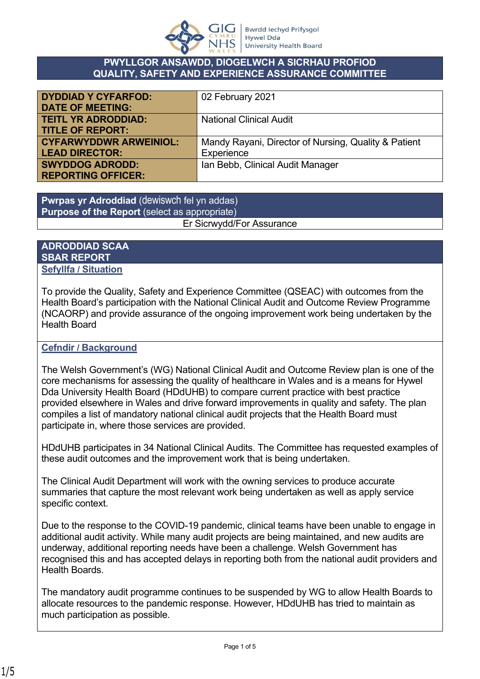

#### **PWYLLGOR ANSAWDD, DIOGELWCH A SICRHAU PROFIOD QUALITY, SAFETY AND EXPERIENCE ASSURANCE COMMITTEE**

| <b>DYDDIAD Y CYFARFOD:</b>    | 02 February 2021                                     |
|-------------------------------|------------------------------------------------------|
| <b>DATE OF MEETING:</b>       |                                                      |
| <b>TEITL YR ADRODDIAD:</b>    | <b>National Clinical Audit</b>                       |
| <b>TITLE OF REPORT:</b>       |                                                      |
| <b>CYFARWYDDWR ARWEINIOL:</b> | Mandy Rayani, Director of Nursing, Quality & Patient |
| <b>LEAD DIRECTOR:</b>         | Experience                                           |
| <b>SWYDDOG ADRODD:</b>        | Ian Bebb, Clinical Audit Manager                     |
| <b>REPORTING OFFICER:</b>     |                                                      |

**Pwrpas yr Adroddiad** (dewiswch fel yn addas) **Purpose of the Report** (select as appropriate) Er Sicrwydd/For Assurance

#### **ADRODDIAD SCAA SBAR REPORT Sefyllfa / Situation**

To provide the Quality, Safety and Experience Committee (QSEAC) with outcomes from the Health Board's participation with the National Clinical Audit and Outcome Review Programme (NCAORP) and provide assurance of the ongoing improvement work being undertaken by the Health Board

## **Cefndir / Background**

The Welsh Government's (WG) National Clinical Audit and Outcome Review plan is one of the core mechanisms for assessing the quality of healthcare in Wales and is a means for Hywel Dda University Health Board (HDdUHB) to compare current practice with best practice provided elsewhere in Wales and drive forward improvements in quality and safety. The plan compiles a list of mandatory national clinical audit projects that the Health Board must participate in, where those services are provided.

HDdUHB participates in 34 National Clinical Audits. The Committee has requested examples of these audit outcomes and the improvement work that is being undertaken.

The Clinical Audit Department will work with the owning services to produce accurate summaries that capture the most relevant work being undertaken as well as apply service specific context.

Due to the response to the COVID-19 pandemic, clinical teams have been unable to engage in additional audit activity. While many audit projects are being maintained, and new audits are underway, additional reporting needs have been a challenge. Welsh Government has recognised this and has accepted delays in reporting both from the national audit providers and Health Boards.

The mandatory audit programme continues to be suspended by WG to allow Health Boards to allocate resources to the pandemic response. However, HDdUHB has tried to maintain as much participation as possible.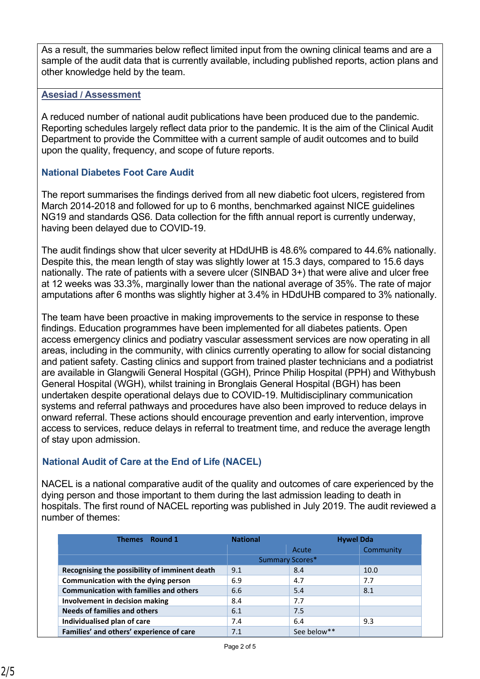As a result, the summaries below reflect limited input from the owning clinical teams and are a sample of the audit data that is currently available, including published reports, action plans and other knowledge held by the team.

#### **Asesiad / Assessment**

A reduced number of national audit publications have been produced due to the pandemic. Reporting schedules largely reflect data prior to the pandemic. It is the aim of the Clinical Audit Department to provide the Committee with a current sample of audit outcomes and to build upon the quality, frequency, and scope of future reports.

## **National Diabetes Foot Care Audit**

The report summarises the findings derived from all new diabetic foot ulcers, registered from March 2014-2018 and followed for up to 6 months, benchmarked against NICE guidelines NG19 and standards QS6. Data collection for the fifth annual report is currently underway, having been delayed due to COVID-19.

The audit findings show that ulcer severity at HDdUHB is 48.6% compared to 44.6% nationally. Despite this, the mean length of stay was slightly lower at 15.3 days, compared to 15.6 days nationally. The rate of patients with a severe ulcer (SINBAD 3+) that were alive and ulcer free at 12 weeks was 33.3%, marginally lower than the national average of 35%. The rate of major amputations after 6 months was slightly higher at 3.4% in HDdUHB compared to 3% nationally.

The team have been proactive in making improvements to the service in response to these findings. Education programmes have been implemented for all diabetes patients. Open access emergency clinics and podiatry vascular assessment services are now operating in all areas, including in the community, with clinics currently operating to allow for social distancing and patient safety. Casting clinics and support from trained plaster technicians and a podiatrist are available in Glangwili General Hospital (GGH), Prince Philip Hospital (PPH) and Withybush General Hospital (WGH), whilst training in Bronglais General Hospital (BGH) has been undertaken despite operational delays due to COVID-19. Multidisciplinary communication systems and referral pathways and procedures have also been improved to reduce delays in onward referral. These actions should encourage prevention and early intervention, improve access to services, reduce delays in referral to treatment time, and reduce the average length of stay upon admission.

# **National Audit of Care at the End of Life (NACEL)**

NACEL is a national comparative audit of the quality and outcomes of care experienced by the dying person and those important to them during the last admission leading to death in hospitals. The first round of NACEL reporting was published in July 2019. The audit reviewed a number of themes:

| Round 1<br><b>Themes</b>                      | <b>National</b> | <b>Hywel Dda</b>       |           |
|-----------------------------------------------|-----------------|------------------------|-----------|
|                                               |                 | Acute                  | Community |
|                                               |                 | <b>Summary Scores*</b> |           |
| Recognising the possibility of imminent death | 9.1             | 8.4                    | 10.0      |
| Communication with the dying person           | 6.9             | 4.7                    | 7.7       |
| <b>Communication with families and others</b> | 6.6             | 5.4                    | 8.1       |
| Involvement in decision making                | 8.4             | 7.7                    |           |
| <b>Needs of families and others</b>           | 6.1             | 7.5                    |           |
| Individualised plan of care                   | 7.4             | 6.4                    | 9.3       |
| Families' and others' experience of care      | 7.1             | See below**            |           |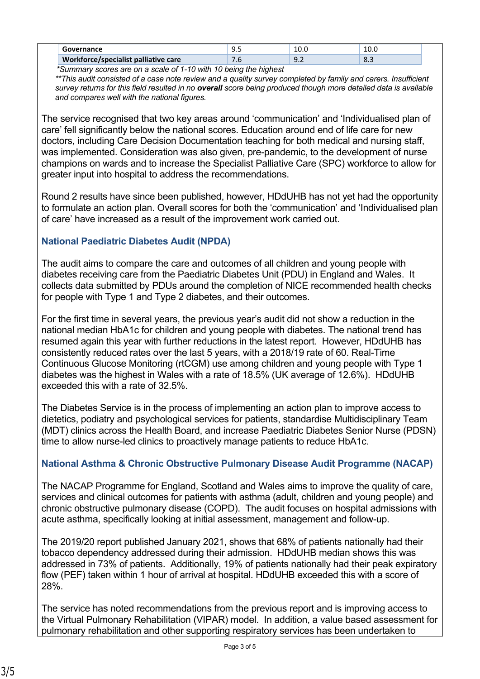|                                             | ุน<br>       | 10.C                          | LU.V            |
|---------------------------------------------|--------------|-------------------------------|-----------------|
| <b>Workforce/specialist palliative care</b> | $\cdot\cdot$ | a<br>$\overline{\phantom{a}}$ | $\Omega$<br>0.5 |

 *\*Summary scores are on a scale of 1-10 with 10 being the highest*

*\*\*This audit consisted of a case note review and a quality survey completed by family and carers. Insufficient survey returns for this field resulted in no overall score being produced though more detailed data is available and compares well with the national figures.*

The service recognised that two key areas around 'communication' and 'Individualised plan of care' fell significantly below the national scores. Education around end of life care for new doctors, including Care Decision Documentation teaching for both medical and nursing staff, was implemented. Consideration was also given, pre-pandemic, to the development of nurse champions on wards and to increase the Specialist Palliative Care (SPC) workforce to allow for greater input into hospital to address the recommendations.

Round 2 results have since been published, however, HDdUHB has not yet had the opportunity to formulate an action plan. Overall scores for both the 'communication' and 'Individualised plan of care' have increased as a result of the improvement work carried out.

## **National Paediatric Diabetes Audit (NPDA)**

The audit aims to compare the care and outcomes of all children and young people with diabetes receiving care from the Paediatric Diabetes Unit (PDU) in England and Wales. It collects data submitted by PDUs around the completion of NICE recommended health checks for people with Type 1 and Type 2 diabetes, and their outcomes.

For the first time in several years, the previous year's audit did not show a reduction in the national median HbA1c for children and young people with diabetes. The national trend has resumed again this year with further reductions in the latest report. However, HDdUHB has consistently reduced rates over the last 5 years, with a 2018/19 rate of 60. Real-Time Continuous Glucose Monitoring (rtCGM) use among children and young people with Type 1 diabetes was the highest in Wales with a rate of 18.5% (UK average of 12.6%). HDdUHB exceeded this with a rate of 32.5%.

The Diabetes Service is in the process of implementing an action plan to improve access to dietetics, podiatry and psychological services for patients, standardise Multidisciplinary Team (MDT) clinics across the Health Board, and increase Paediatric Diabetes Senior Nurse (PDSN) time to allow nurse-led clinics to proactively manage patients to reduce HbA1c.

# **National Asthma & Chronic Obstructive Pulmonary Disease Audit Programme (NACAP)**

The NACAP Programme for England, Scotland and Wales aims to improve the quality of care, services and clinical outcomes for patients with asthma (adult, children and young people) and chronic obstructive pulmonary disease (COPD). The audit focuses on hospital admissions with acute asthma, specifically looking at initial assessment, management and follow-up.

The 2019/20 report published January 2021, shows that 68% of patients nationally had their tobacco dependency addressed during their admission. HDdUHB median shows this was addressed in 73% of patients. Additionally, 19% of patients nationally had their peak expiratory flow (PEF) taken within 1 hour of arrival at hospital. HDdUHB exceeded this with a score of 28%.

The service has noted recommendations from the previous report and is improving access to the Virtual Pulmonary Rehabilitation (VIPAR) model. In addition, a value based assessment for pulmonary rehabilitation and other supporting respiratory services has been undertaken to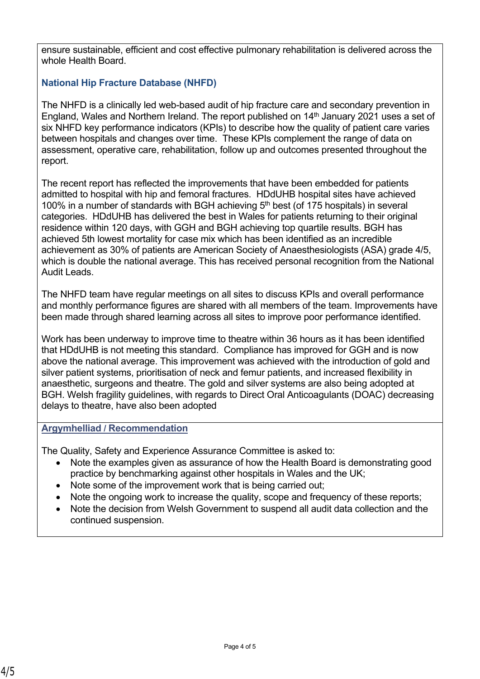ensure sustainable, efficient and cost effective pulmonary rehabilitation is delivered across the whole Health Board.

# **National Hip Fracture Database (NHFD)**

The NHFD is a clinically led web-based audit of hip fracture care and secondary prevention in England, Wales and Northern Ireland. The report published on  $14<sup>th</sup>$  January 2021 uses a set of six NHFD key performance indicators (KPIs) to describe how the quality of patient care varies between hospitals and changes over time. These KPIs complement the range of data on assessment, operative care, rehabilitation, follow up and outcomes presented throughout the report.

The recent report has reflected the improvements that have been embedded for patients admitted to hospital with hip and femoral fractures. HDdUHB hospital sites have achieved 100% in a number of standards with BGH achieving  $5<sup>th</sup>$  best (of 175 hospitals) in several categories. HDdUHB has delivered the best in Wales for patients returning to their original residence within 120 days, with GGH and BGH achieving top quartile results. BGH has achieved 5th lowest mortality for case mix which has been identified as an incredible achievement as 30% of patients are American Society of Anaesthesiologists (ASA) grade 4/5, which is double the national average. This has received personal recognition from the National Audit Leads.

The NHFD team have regular meetings on all sites to discuss KPIs and overall performance and monthly performance figures are shared with all members of the team. Improvements have been made through shared learning across all sites to improve poor performance identified.

Work has been underway to improve time to theatre within 36 hours as it has been identified that HDdUHB is not meeting this standard. Compliance has improved for GGH and is now above the national average. This improvement was achieved with the introduction of gold and silver patient systems, prioritisation of neck and femur patients, and increased flexibility in anaesthetic, surgeons and theatre. The gold and silver systems are also being adopted at BGH. Welsh fragility guidelines, with regards to Direct Oral Anticoagulants (DOAC) decreasing delays to theatre, have also been adopted

## **Argymhelliad / Recommendation**

The Quality, Safety and Experience Assurance Committee is asked to:

- Note the examples given as assurance of how the Health Board is demonstrating good practice by benchmarking against other hospitals in Wales and the UK;
- Note some of the improvement work that is being carried out;
- Note the ongoing work to increase the quality, scope and frequency of these reports;
- Note the decision from Welsh Government to suspend all audit data collection and the continued suspension.